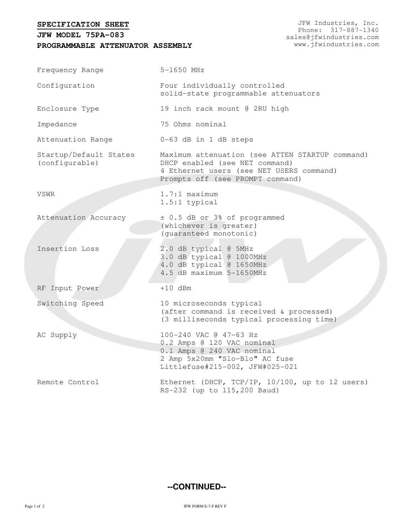## **SPECIFICATION SHEET**

## **PROGRAMMABLE ATTENUATOR ASSEMBLY JFW MODEL 75PA-083**

| Frequency Range                          | 5-1650 MHz                                                                                                                                                        |  |
|------------------------------------------|-------------------------------------------------------------------------------------------------------------------------------------------------------------------|--|
| Configuration                            | Four individually controlled<br>solid-state programmable attenuators                                                                                              |  |
| Enclosure Type                           | 19 inch rack mount @ 2RU high                                                                                                                                     |  |
| Impedance                                | 75 Ohms nominal                                                                                                                                                   |  |
| Attenuation Range                        | 0-63 dB in 1 dB steps                                                                                                                                             |  |
| Startup/Default States<br>(configurable) | Maximum attenuation (see ATTEN STARTUP command)<br>DHCP enabled (see NET command)<br>4 Ethernet users (see NET USERS command)<br>Prompts off (see PROMPT command) |  |
| VSWR                                     | $1.7:1$ maximum<br>1.5:1 typical                                                                                                                                  |  |
| Attenuation Accuracy                     | ± 0.5 dB or 3% of programmed<br>(whichever is greater)<br>(quaranteed monotonic)                                                                                  |  |
| Insertion Loss                           | 2.0 dB typical @ 5MHz<br>3.0 dB typical @ 1000MHz<br>4.0 dB typical @ 1650MHz<br>4.5 dB maximum 5-1650MHz                                                         |  |
| RF Input Power                           | $+10$ dBm                                                                                                                                                         |  |
| Switching Speed                          | 10 microseconds typical<br>(after command is received & processed)<br>(3 milliseconds typical processing time)                                                    |  |
| AC Supply                                | 100-240 VAC @ 47-63 Hz<br>0.2 Amps @ 120 VAC nominal<br>0.1 Amps @ 240 VAC nominal<br>2 Amp 5x20mm "Slo-Blo" AC fuse<br>Littlefuse#215-002, JFW#025-021           |  |
| Remote Control                           | Ethernet (DHCP, TCP/IP, 10/100, up to 12 users)<br>RS-232 (up to 115, 200 Baud)                                                                                   |  |

## **--CONTINUED--**